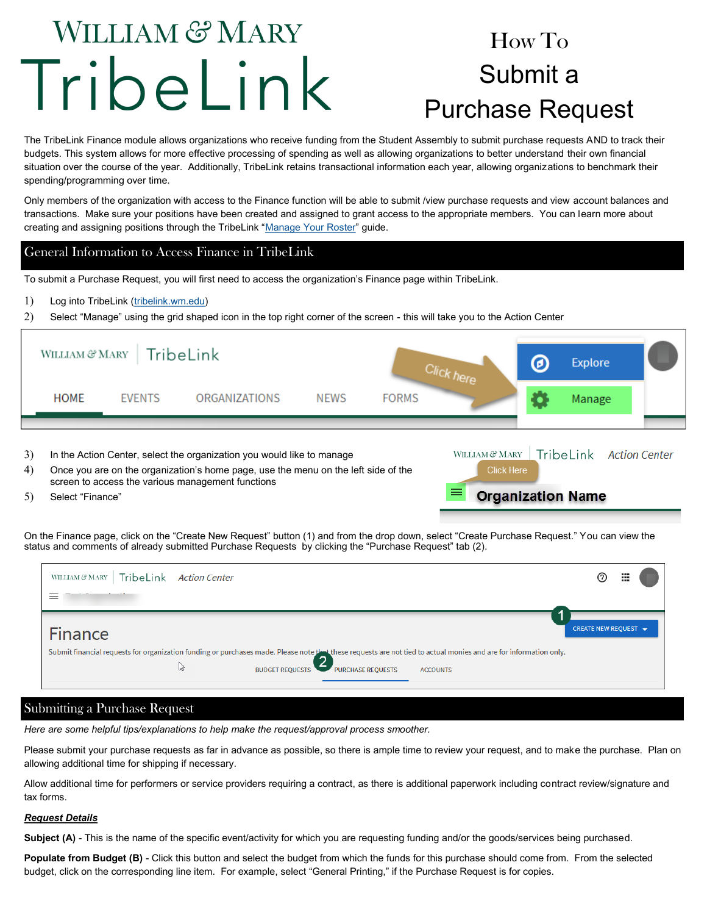# WILLIAM & MARY TribeLink

# How To Submit a Purchase Request

The TribeLink Finance module allows organizations who receive funding from the Student Assembly to submit purchase requests AND to track their budgets. This system allows for more effective processing of spending as well as allowing organizations to better understand their own financial situation over the course of the year. Additionally, TribeLink retains transactional information each year, allowing organizations to benchmark their spending/programming over time.

Only members of the organization with access to the Finance function will be able to submit /view purchase requests and view account balances and transactions. Make sure your positions have been created and assigned to grant access to the appropriate members. You can learn more about creating and assigning positions through the TribeLink "[Manage Your Roster"](https://www.wm.edu/offices/studentleadershipdevelopment/documents/tribelink/tl-manage-roster.pdf) guide.

### General Information to Access Finance in TribeLink

To submit a Purchase Request, you will first need to access the organization's Finance page within TribeLink.

Log into TribeLink [\(tribelink.wm.edu\)](tribelink.wm.edu)

Select "Manage" using the grid shaped icon in the top right corner of the screen - this will take you to the Action Center

|          |                                                                                                                                                                                                                                                          | WILLIAM & MARY   TribeLink |                      | Click here  |              |                          | Θ | <b>Explore</b>          |  |
|----------|----------------------------------------------------------------------------------------------------------------------------------------------------------------------------------------------------------------------------------------------------------|----------------------------|----------------------|-------------|--------------|--------------------------|---|-------------------------|--|
|          | <b>HOME</b>                                                                                                                                                                                                                                              | <b>FVENTS</b>              | <b>ORGANIZATIONS</b> | <b>NEWS</b> | <b>FORMS</b> |                          |   | Manage                  |  |
|          |                                                                                                                                                                                                                                                          |                            |                      |             |              |                          |   |                         |  |
| 3)<br>4) | WILLIAM & MARY<br>In the Action Center, select the organization you would like to manage<br><b>Click Here</b><br>Once you are on the organization's home page, use the menu on the left side of the<br>screen to access the various management functions |                            |                      |             |              |                          |   | TribeLink Action Center |  |
| 5)       | Select "Finance"                                                                                                                                                                                                                                         |                            |                      |             |              | <b>Organization Name</b> |   |                         |  |

On the Finance page, click on the "Create New Request" button (1) and from the drop down, select "Create Purchase Request." You can view the status and comments of already submitted Purchase Requests by clicking the "Purchase Request" tab (2).

| WILLIAM & MARY   TribeLink Action Center                                                                                                                                                                                                  | $^{\circ}$           | ж |
|-------------------------------------------------------------------------------------------------------------------------------------------------------------------------------------------------------------------------------------------|----------------------|---|
| Finance<br>Submit financial requests for organization funding or purchases made. Please note that these requests are not tied to actual monies and are for information only.<br>BUDGET REQUESTS PURCHASE REQUESTS<br>M<br><b>ACCOUNTS</b> | CREATE NEW REQUEST ▼ |   |

# Submitting a Purchase Request

*Here are some helpful tips/explanations to help make the request/approval process smoother.* 

Please submit your purchase requests as far in advance as possible, so there is ample time to review your request, and to make the purchase. Plan on allowing additional time for shipping if necessary.

Allow additional time for performers or service providers requiring a contract, as there is additional paperwork including contract review/signature and tax forms.

#### *Request Details*

**Subject (A)** - This is the name of the specific event/activity for which you are requesting funding and/or the goods/services being purchased.

**Populate from Budget (B)** - Click this button and select the budget from which the funds for this purchase should come from. From the selected budget, click on the corresponding line item. For example, select "General Printing," if the Purchase Request is for copies.